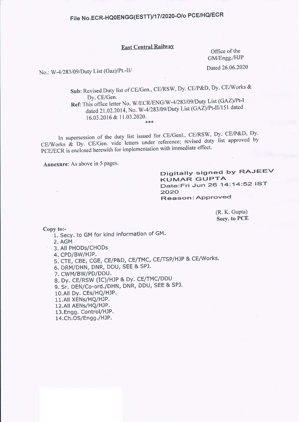#### **East Central Railway**

Office of the GM/Engg./HJP

Dated 26.06.2020

No.: W-4/283/09/Duty List (Gaz)/Pt.-II/

Sub: Revised Duty list of CE/Gen., CE/RSW, Dy. CE/P&D, Dy. CE/Works & Dy. CE/Gen. Ref: This office letter No. W/ECR/ENG/W-4/283/09/Duty List (GAZ)/Pt-I dated 21.02.2014, No. W-4/283/09/Duty List (GAZ)/Pt-II/151 dated 16.03.2016 & 11.03.2020.  $*$  \*

In supersession of the duty list issued for CE/Genl., CE/RSW, Dy. CE/P&D, Dy. CE/Works & Dy. CE/Gen. vide letters under reference; revised duty list approved by PCE/ECR is enclosed herewith for implementation with immediate effect.

Annexure: As above in 5 pages.

Digitally signed by RAJEEV **KUMAR GUPTA** Date: Fri Jun 26 14: 14: 52 IST 2020 Reason: Approved

> $(R, K, Gupta)$ **Secv. to PCE**

Copy to:-

1. Secy. to GM for kind information of GM.

2. AGM

3. All PHODs/CHODs

4. CPD/BW/HJP.

5. CTE, CBE, CGE, CE/P&D, CE/TMC, CE/TSP/HJP & CE/Works.

6. DRM/DHN, DNR, DDU, SEE & SPJ.

7. CWM/BW/PD/DDU.

8. Dy. CE/RSW (IC)/HJP & Dy. CE/TMC/DDU

9. Sr. DEN/Co-ord./DHN, DNR, DDU, SEE & SPJ.

10.All Dy. CEs/HQ/HJP.

11.All XENs/HQ/HJP.

12.All AENs/HQ/HJP.

13.Engg. Control/HJP.

14.Ch.OS/Engg./HJP.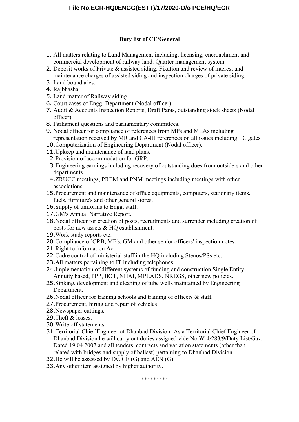#### **Duty list of CE/General**

- 1. All matters relating to Land Management including, licensing, encroachment and commercial development of railway land. Quarter management system.
- 2. Deposit works of Private & assisted siding. Fixation and review of interest and maintenance charges of assisted siding and inspection charges of private siding.
- 3. Land boundaries.
- 4. Rajbhasha.
- 5. Land matter of Railway siding.
- 6. Court cases of Engg. Department (Nodal officer).
- 7. Audit & Accounts Inspection Reports, Draft Paras, outstanding stock sheets (Nodal officer).
- 8. Parliament questions and parliamentary committees.
- 9. Nodal officer for compliance of references from MPs and MLAs including representation received by MR and CA-III references on all issues including LC gates
- 10.Computerization of Engineering Department (Nodal officer).
- 11. Upkeep and maintenance of land plans.
- 12.Provision of accommodation for GRP.
- 13.Engineering earnings including recovery of outstanding dues from outsiders and other departments.
- 14.ZRUCC meetings, PREM and PNM meetings including meetings with other associations.
- 15.Procurement and maintenance of office equipments, computers, stationary items, fuels, furniture's and other general stores.
- 16.Supply of uniforms to Engg. staff.
- 17.GM's Annual Narrative Report.
- 18.Nodal officer for creation of posts, recruitments and surrender including creation of posts for new assets & HQ establishment.
- 19.Work study reports etc.
- 20.Compliance of CRB, ME's, GM and other senior officers' inspection notes.
- 21.Right to information Act.
- 22.Cadre control of ministerial staff in the HQ including Stenos/PSs etc.
- 23.All matters pertaining to IT including telephones.
- 24.Implementation of different systems of funding and construction Single Entity, Annuity based, PPP, BOT, NHAI, MPLADS, NREGS, other new policies.
- 25.Sinking, development and cleaning of tube wells maintained by Engineering Department.
- 26.Nodal officer for training schools and training of officers & staff.
- 27.Procurement, hiring and repair of vehicles
- 28.Newspaper cuttings.
- 29.Theft & losses.
- 30.Write off statements.
- 31.Territorial Chief Engineer of Dhanbad Division- As a Territorial Chief Engineer of Dhanbad Division he will carry out duties assigned vide No.W-4/283/9/Duty List/Gaz. Dated 19.04.2007 and all tenders, contracts and variation statements (other than related with bridges and supply of ballast) pertaining to Dhanbad Division.
- 32.He will be assessed by Dy. CE (G) and AEN (G).
- 33.Any other item assigned by higher authority.

\*\*\*\*\*\*\*\*\*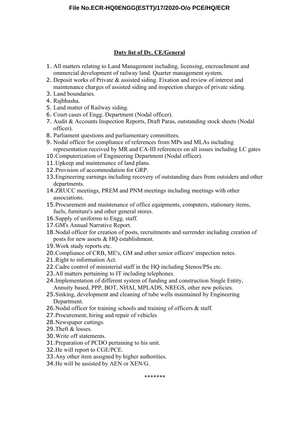#### **Duty list of Dy. CE/General**

- 1. All matters relating to Land Management including, licensing, encroachment and ommercial development of railway land. Quarter management system.
- 2. Deposit works of Private & assisted siding. Fixation and review of interest and maintenance charges of assisted siding and inspection charges of private siding.
- 3. Land boundaries.
- 4. Rajbhasha.
- 5. Land matter of Railway siding.
- 6. Court cases of Engg. Department (Nodal officer).
- 7. Audit & Accounts Inspection Reports, Draft Paras, outstanding stock sheets (Nodal officer).
- 8. Parliament questions and parliamentary committees.
- 9. Nodal officer for compliance of references from MPs and MLAs including representation received by MR and CA-III references on all issues including LC gates
- 10.Computerization of Engineering Department (Nodal officer).
- 11. Upkeep and maintenance of land plans.
- 12.Provision of accommodation for GRP.
- 13.Engineering earnings including recovery of outstanding dues from outsiders and other departments.
- 14.ZRUCC meetings, PREM and PNM meetings including meetings with other associations.
- 15.Procurement and maintenance of office equipments, computers, stationary items, fuels, furniture's and other general stores.
- 16.Supply of uniforms to Engg. staff.
- 17.GM's Annual Narrative Report.
- 18.Nodal officer for creation of posts, recruitments and surrender including creation of posts for new assets & HQ establishment.
- 19.Work study reports etc.
- 20.Compliance of CRB, ME's, GM and other senior officers' inspection notes.
- 21.Right to information Act.
- 22.Cadre control of ministerial staff in the HQ including Stenos/PSs etc.
- 23.All matters pertaining to IT including telephones.
- 24.Implementation of different system of funding and construction Single Entity, Annuity based, PPP, BOT, NHAI, MPLADS, NREGS, other new policies.
- 25.Sinking, development and cleaning of tube wells maintained by Engineering Department.
- 26.Nodal officer for training schools and training of officers & staff.
- 27.Procurement, hiring and repair of vehicles
- 28.Newspaper cuttings.
- 29.Theft & losses.
- 30.Write off statements.
- 31.Preparation of PCDO pertaining to his unit.
- 32.He will report to CGE/PCE.
- 33.Any other item assigned by higher authorities.
- 34.He will be assisted by AEN or XEN/G.

\*\*\*\*\*\*\*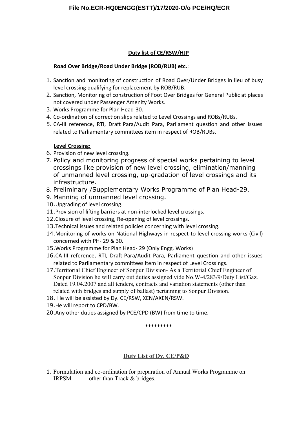# Duty list of CE/RSW/HJP

# Road Over Bridge/Road Under Bridge (ROB/RUB) etc.:

- 1. Sanction and monitoring of construction of Road Over/Under Bridges in lieu of busy level crossing qualifying for replacement by ROB/RUB.
- 2. Sanction, Monitoring of construction of Foot Over Bridges for General Public at places not covered under Passenger Amenity Works.
- 3. Works Programme for Plan Head-30.
- 4. Co-ordination of correction slips related to Level Crossings and ROBs/RUBs.
- 5. CA-III reference, RTI, Draft Para/Audit Para, Parliament question and other issues related to Parliamentary committees item in respect of ROB/RUBs.

# **Level Crossing:**

- 6. Provision of new level crossing.
- 7. Policy and monitoring progress of special works pertaining to level crossings like provision of new level crossing, elimination/manning of unmanned level crossing, up-gradation of level crossings and its infrastructure.
- 8. Preliminary / Supplementary Works Programme of Plan Head-29.
- 9. Manning of unmanned level crossing.
- 10. Upgrading of level crossing.
- 11. Provision of lifting barriers at non-interlocked level crossings.
- 12. Closure of level crossing, Re-opening of level crossings.
- 13. Technical issues and related policies concerning with level crossing.
- 14. Monitoring of works on National Highways in respect to level crossing works (Civil) concerned with PH-29 & 30.
- 15. Works Programme for Plan Head- 29 (Only Engg. Works)
- 16.CA-III reference, RTI, Draft Para/Audit Para, Parliament question and other issues related to Parliamentary committees item in respect of Level Crossings.
- 17. Territorial Chief Engineer of Sonpur Division- As a Territorial Chief Engineer of Sonpur Division he will carry out duties assigned vide No.W-4/283/9/Duty List/Gaz. Dated 19.04.2007 and all tenders, contracts and variation statements (other than related with bridges and supply of ballast) pertaining to Sonpur Division.
- 18. He will be assisted by Dy. CE/RSW, XEN/AXEN/RSW.
- 19. He will report to CPD/BW.
- 20. Any other duties assigned by PCE/CPD (BW) from time to time.

#### \*\*\*\*\*\*\*\*\*

# Duty List of Dy. CE/P&D

1. Formulation and co-ordination for preparation of Annual Works Programme on **IRPSM** other than Track & bridges.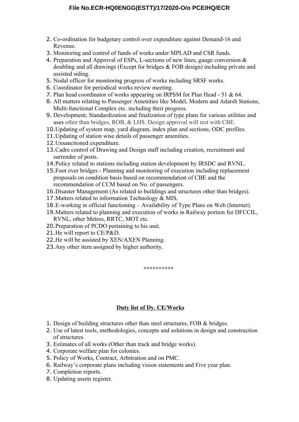- 2. Co-ordination for budgetary control over expenditure against Demand-16 and Revenue.
- 3. Monitoring and control of funds of works under MPLAD and CSR funds.
- 4. Preparation and Approval of ESPs, L-sections of new lines, gauge conversion & doubling and all drawings (Except for bridges & FOB design) including private and assisted siding.
- 5. Nodal officer for monitoring progress of works including SRSF works.
- 6. Coordinator for periodical works review meeting.
- 7. Plan head coordinator of works appearing on IRPSM for Plan Head 51 & 64.
- 8. All matters relating to Passenger Amenities like Model, Modern and Adarsh Stations, Multi-functional Complex etc. including their progress.
- 9. Development, Standardization and finalization of type plans for various utilities and uses other than bridges, ROB, & LHS. Design approval will rest with CBE.
- 10.Updating of system map, yard diagram, index plan and sections, ODC profiles.
- 11.Updating of station wise details of passenger amenities.
- 12.Unsanctioned expenditure.
- 13.Cadre control of Drawing and Design staff including creation, recruitment and surrender of posts.
- 14.Policy related to stations including station development by IRSDC and RVNL.
- 15.Foot over bridges Planning and monitoring of execution including replacement proposals on condition basis based on recommendation of CBE and the recommendation of CCM based on No. of passengers.
- 16.Disaster Management (As related to buildings and structures other than bridges).
- 17.Matters related to information Technology & MIS.
- 18.E-working in official functioning Availability of Type Plans on Web (Internet).
- 19.Matters related to planning and execution of works in Railway portion for DFCCIL, RVNL, other Metros, RRTC, MOT etc.
- 20.Preparation of PCDO pertaining to his unit.
- 21.He will report to CE/P&D.
- 22.He will be assisted by XEN/AXEN Planning.
- 23.Any other item assigned by higher authority.

\*\*\*\*\*\*\*\*\*\*

#### **Duty list of Dy. CE/Works**

- 1. Design of building structures other than steel structures, FOB & bridges.
- 2. Use of latest tools, methodologies, concepts and solutions in design and construction of structures.
- 3. Estimates of all works (Other than track and bridge works).
- 4. Corporate welfare plan for colonies.
- 5. Policy of Works, Contract, Arbitration and on PMC.
- 6. Railway's corporate plans including vision statements and Five year plan.
- 7. Completion reports.
- 8. Updating assets register.